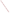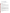# **Technical Factsheet on: ENDOTHALL**

[List of Contaminants](http://www.epa.gov/safewater/hfacts.html) 

 As part of the Drinking Water and Health pages, this fact sheet is part of a larger publication: **National Primary Drinking Water Regulations** 

 MCL: 0.1 mg/L Drinking Water Standards MCLG: 0.1 mg/L HAL(child): 1- to 10-day: 0.8 mg/L; Longer-term: 0.2 mg/L

## **Health Effects Summary**

 levels above the MCL: depressed breathing and heart rate. Acute: EPA has found endothall to potentially cause the following health effects from acute exposures at

Drinking water levels which are considered "safe" for short-term exposures: For a 10-kg (22 lb.) child consuming 1 liter of water per day, upto a ten-day exposure to 0.8, or up to a 7-year exposure to 0.2 mg/L.

 levels above the MCL: increased organ weights and organ-to-body weight ratios of stomach and intestine. Chronic: Endothall has the potential to cause the following health effects from long-term exposures at

 from a lifetime exposure in drinking water. Cancer: There is inadequate evidence to state whether or not endothall has the potential to cause cancer

### **Usage Patterns**

 aquatic weeds and as an aquatic algicide growth regulator. It has been used for: sugar beets, turf, hops Endothall is used as a defoliant for a wide range of crops and as a herbicide for both terrestrial and aquatic weeds. It is used as a desiccant on lucerne and on potato, for the defoliation of cotton, to control sucker suppression; alfalfa, clover desiccants; potato vine killers.

 landscape maintenance or "public health pest control." EPA estimated total domestic usage in 1982 to have been approximately 1.5 million lbs. In California in 1984, 87,000 lbs. of the mono(N,N-diethylalkylamine) salt were used; 4,000 lbs. of the dimethylamine salt were used; minor amounts of the dimethylalkylamine and dipotassium salts were used. Its estimated applications in California were as follows: Cotton production, 95.6%; Sugarbeets, 3.9%; Remainder in

### **Release Patterns**

 manufacturing, formulation, packaging or disposal of this herbicide. Release of endothall to the environment is expected to occur primarily during its use as a pre-emergence, post-emergence, turf and aquatic herbicide and harvest aid. Other sources of release include loss during

 Since endothall is not a listed chemical in the Toxics Release Inventory, data on releases during its manufacture and handling are not available.

# **Environmental Fate**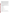If released to soil, endothall is expected to rapidly biodegrade under aerobic conditions. The half-life of endothall in soil is reported to be 4 to 9 days. Endothall should be highly mobile in soil; however, rapid degradation would limit the extent of leaching. Its persistence in soil may be prolonged by adsorption to organic matter or by factors inhibiting microbial activity. Chemical hydrolysis and volatilization are not expected to be significant.

 adsorption coefficient (Koc) of endothall in sediment/water systems has been measured to be < 2. If released to water, endothall should rapidly biodegrade under aerobic conditions (half-life approximately 1 week or less) and biodegrade more slowly under anaerobic conditions. Glutamic acid is a major biotransformation product of endothall under aerobic conditions. Endothall is not expected to oxidize, chemically hydrolyze, photolyze, volatilize or adsorb to suspended solids or sediments in water. The soil

If released to the atmosphere, endothall is expected to exist predominantly on particles and should either settle out or wash out in precipitation. It is not expected to chemically react or photolyze in the atmosphere.

 measured to be < 1. Based on a its water solubility, a BCF of < 1 has also been calculated. With these The whole body bioconcentration factor (BCF) of endothall in bluegill (Lepomis macrochirus) has been BCF values, endothall is not expected to bioaccumulate in aquatic organisms.

 involved in the manufacture, handling or application of endothall. The general public could potentially be exposed through use for lawn weed control. The most probable routes of human exposure to endothall are inhalation and dermal contact of workers

#### **Chemical/ Physical Properties**

CAS Number: 145-73-3

M.P.: 144 C (decomposes)

Color/ Form/Odor: Odorless, white crystals<br>M.P.: 144 C (decomposes)<br>Vapor Pressure: very low at room temp.

Octanol/Water Partition (Kow): N/A

Octanol/Water Partition (Kow): N/A<br>Density/Spec. Grav.: 1.431 at 15 C

Solubility: 100 g/L of water at 20 C; Very soluble in water

Soil sorption coefficient: Koc <2; high mobility in soil

Odor/Taste Thresholds: N/A

Henry's Law Coefficient: N/A

Bioconcentration Factor: BCF <1 in fish; not expected to bioconcentrate in aquatic organisms.

 Pennout; Hydout. Trade Names/Synonyms: Hexahydro-3,6-endo-epoxy-1,2-benzenedicarboxylic acid; Accelerate; Aquathol; Des-i-cate; Endothall Turf Herbicide; Endothall Weed Killer; Herbicide 273; Hydrothol; Herbon